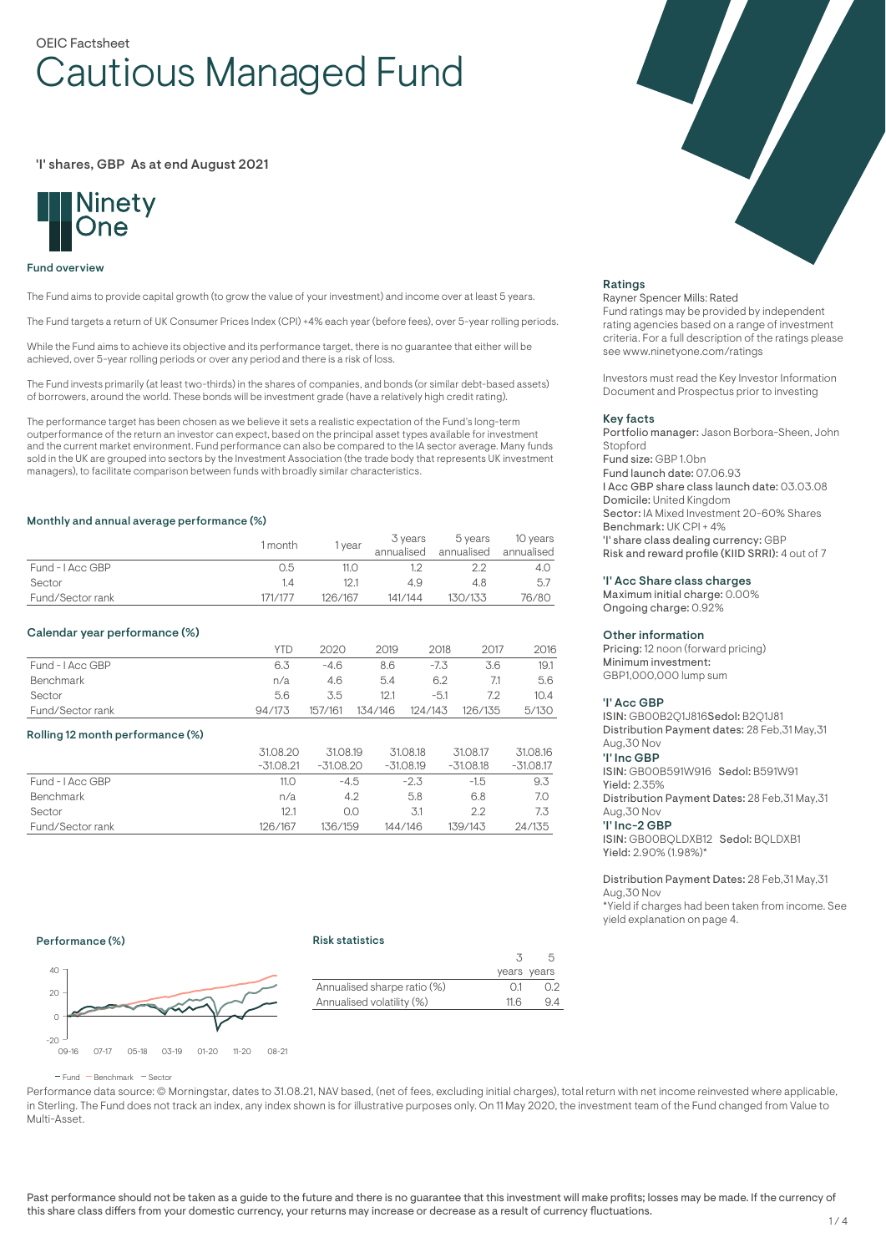# OEIC Factsheet Cautious Managed Fund

'I' shares, GBP As at end August 2021



#### Fund overview

The Fund aims to provide capital growth (to grow the value of your investment) and income over at least 5 years.

The Fund targets a return of UK Consumer Prices Index (CPI) +4% each year (before fees), over 5-year rolling periods.

While the Fund aims to achieve its objective and its performance target, there is no guarantee that either will be achieved, over 5-year rolling periods or over any period and there is a risk of loss.

The Fund invests primarily (at least two-thirds) in the shares of companies, and bonds (or similar debt-based assets) of borrowers, around the world. These bonds will be investment grade (have a relatively high credit rating).

The performance target has been chosen as we believe it sets a realistic expectation of the Fund's long-term outperformance of the return an investor can expect, based on the principal asset types available for investment and the current market environment. Fund performance can also be compared to the IA sector average. Many funds sold in the UK are grouped into sectors by the Investment Association (the trade body that represents UK investment managers), to facilitate comparison between funds with broadly similar characteristics.

#### Monthly and annual average performance (%)

|                  | 1 month | vear    | 3 years<br>annualised | 5 vears | 10 years<br>annualised annualised |
|------------------|---------|---------|-----------------------|---------|-----------------------------------|
|                  |         |         |                       |         |                                   |
| Fund - I Acc GBP | 0.5     | 11.O    |                       |         | 4.O                               |
| Sector           |         | 12.1    | 4.9                   | 4.8     | 5.7                               |
| Fund/Sector rank | 171/177 | 126/167 | 141/144               | 130/133 | 76/80                             |

# Calendar year performance (%)

|                  | YTD    | 2020    | 2019    | 2018    | 2017    | 2016  |
|------------------|--------|---------|---------|---------|---------|-------|
| Fund - I Acc GBP | 6.3    | -46     | 8.6     | $-7.5$  | 3.6     | 19.1  |
| Benchmark        | n/a    | 4.6     | 54      | 6.2     |         | 5.6   |
| Sector           | 5.6    | 35      | 12.1    | $-5.1$  | 72      | 10.4  |
| Fund/Sector rank | 94/173 | 157/161 | 134/146 | 124/143 | 126/135 | 5/130 |

# Rolling 12 month performance (%)

|                  | 31.08.20<br>$-31.08.21$ | 31.08.19<br>$-31.08.20$ | 31.08.18<br>$-31.08.19$ | 31.08.17<br>$-31.08.18$ | 31.08.16<br>$-31.08.17$ |
|------------------|-------------------------|-------------------------|-------------------------|-------------------------|-------------------------|
| Fund - I Acc GBP | 11.0                    | $-4.5$                  | $-2.3$                  | $-1.5$                  | 9.3                     |
| <b>Benchmark</b> | n/a                     | 4.2                     | 5.8                     | 6.8                     | 7.0                     |
| Sector           | 12.1                    | 0.0                     | 3.1                     | 2.2                     | 7.3                     |
| Fund/Sector rank | 126/167                 | 136/159                 | 144/146                 | 139/143                 | 24/135                  |

# Ratings

#### Rayner Spencer Mills: Rated

Fund ratings may be provided by independent rating agencies based on a range of investment criteria. For a full description of the ratings please see www.ninetyone.com/ratings

Investors must read the Key Investor Information Document and Prospectus prior to investing

#### Key facts

Portfolio manager: Jason Borbora-Sheen, John Stopford Fund size: GBP 1.0bn Fund launch date: 07.06.93 I Acc GBP share class launch date: 03.03.08 Domicile: United Kingdom Sector: IA Mixed Investment 20-60% Shares Benchmark: UK CPI + 4% 'I' share class dealing currency: GBP Risk and reward profile (KIID SRRI): 4 out of 7

#### 'I' Acc Share class charges

Maximum initial charge: 0.00% Ongoing charge: 0.92%

#### Other information

Pricing: 12 noon (forward pricing) Minimum investment: GBP1,000,000 lump sum

#### 'I' Acc GBP

ISIN: GB00B2Q1J816Sedol: B2Q1J81 Distribution Payment dates: 28 Feb,31 May,31 Aug,30 Nov 'I' Inc GBP ISIN: GB00B591W916 Sedol: B591W91 Yield: 2.35% Distribution Payment Dates: 28 Feb,31 May,31 Aug,30 Nov

### 'I' Inc-2 GBP

ISIN: GB00BQLDXB12 Sedol: BQLDXB1 Yield: 2.90% (1.98%)\*

Distribution Payment Dates: 28 Feb,31 May,31 Aug,30 Nov

\*Yield if charges had been taken from income. See yield explanation on page 4.

#### Performance (%)

#### Risk statistics



|                             |                 | years years |
|-----------------------------|-----------------|-------------|
| Annualised sharpe ratio (%) | $\bigcap$ 1     | 0.2         |
| Annualised volatility (%)   | 11 <sub>6</sub> | 94          |
|                             |                 |             |

 $F$ und  $B$ Benchmark  $F$ Sector

Performance data source: © Morningstar, dates to 31.08.21, NAV based, (net of fees, excluding initial charges), total return with net income reinvested where applicable, in Sterling. The Fund does not track an index, any index shown is for illustrative purposes only. On 11 May 2020, the investment team of the Fund changed from Value to Multi-Asset.

Past performance should not be taken as a guide to the future and there is no guarantee that this investment will make profits; losses may be made. If the currency of this share class differs from your domestic currency, your returns may increase or decrease as a result of currency fluctuations.

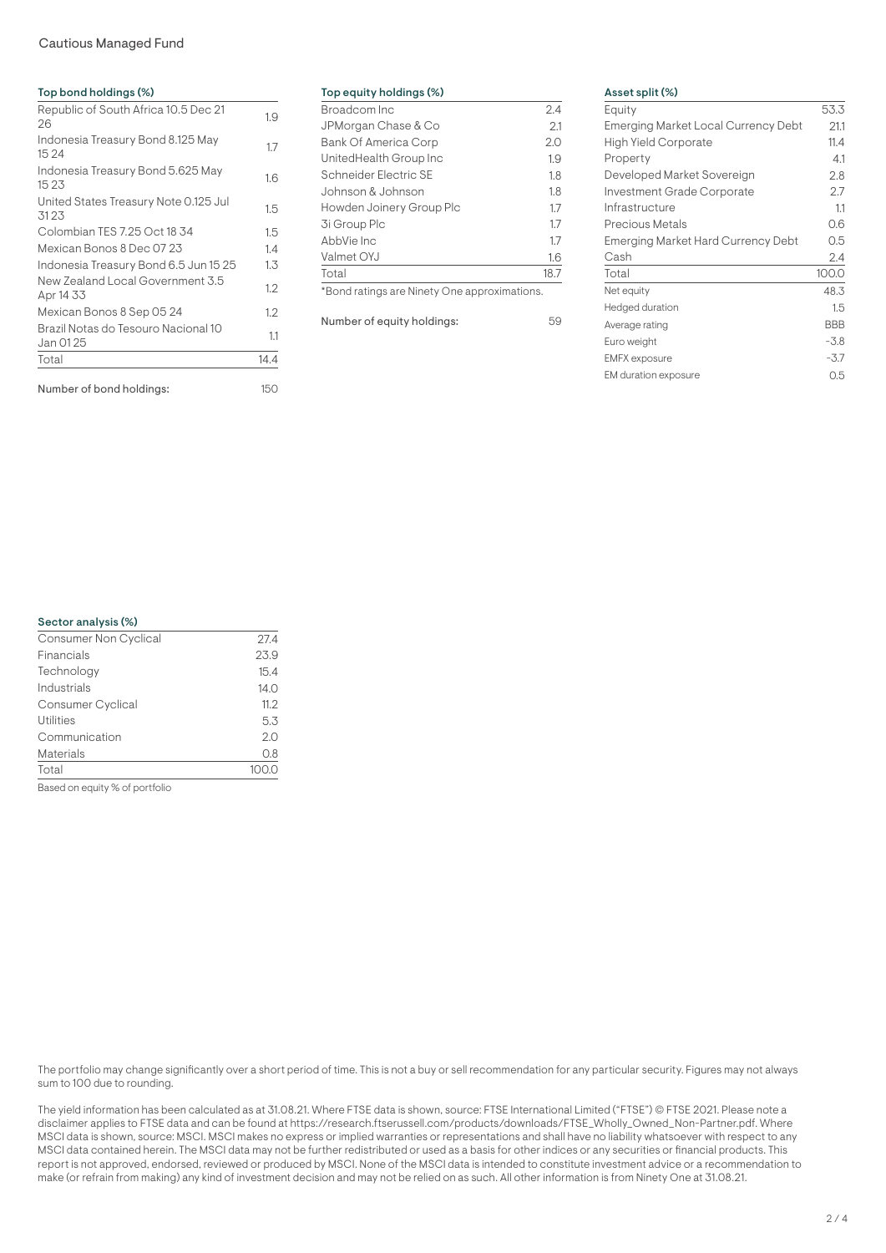# Cautious Managed Fund

| Top bond holdings (%)                            |      |
|--------------------------------------------------|------|
| Republic of South Africa 10.5 Dec 21<br>26       | 1.9  |
| Indonesia Treasury Bond 8.125 May<br>15 24       | 1.7  |
| Indonesia Treasury Bond 5.625 May<br>15 23       | 1.6  |
| United States Treasury Note 0.125 Jul<br>3123    | 1.5  |
| Colombian TES 7.25 Oct 18 34                     | 1.5  |
| Mexican Bonos 8 Dec 07 23                        | 1.4  |
| Indonesia Treasury Bond 6.5 Jun 15 25            | 1.3  |
| New Zealand Local Government 3.5<br>Apr 14 33    | 1.2  |
| Mexican Bonos 8 Sep 05 24                        | 1.2  |
| Brazil Notas do Tesouro Nacional 10<br>Jan 01 25 | 1.1  |
| Total                                            | 14.4 |
| Number of bond holdings:                         | 150  |

| Top equity holdings (%)     |      |
|-----------------------------|------|
| Broadcom Inc                | 2.4  |
| JPMorgan Chase & Co         | 2.1  |
| <b>Bank Of America Corp</b> | 2.0  |
| UnitedHealth Group Inc      | 1.9  |
| Schneider Flectric SF       | 1.8  |
| Johnson & Johnson           | 1.8  |
| Howden Joinery Group Plc    | 1.7  |
| 3i Group Plc                | 1.7  |
| AbbVie Inc                  | 1.7  |
| Valmet OYJ                  | 1.6  |
| Total                       | 18.7 |
|                             |      |

\*Bond ratings are Ninety One approximations.

Number of equity holdings: 59

# Asset split (%)

| Equity                              | 53.3       |
|-------------------------------------|------------|
| Emerging Market Local Currency Debt | 211        |
| High Yield Corporate                | 11.4       |
| Property                            | 4.1        |
| Developed Market Sovereign          | 2.8        |
| Investment Grade Corporate          | 27         |
| Infrastructure                      | 11         |
| Precious Metals                     | 0.6        |
| Emerging Market Hard Currency Debt  | 0.5        |
| Cash                                | 2.4        |
| Total                               | 100.0      |
| Net equity                          | 48.3       |
| Hedged duration                     | 1.5        |
| Average rating                      | <b>BBB</b> |
| Euro weight                         | $-3.8$     |
| <b>EMFX</b> exposure                | $-3.7$     |
| EM duration exposure                | 0.5        |

# Sector analysis (%)

| Financials<br>23.9<br>Technology<br>15.4<br>Industrials<br>14.0<br>Consumer Cyclical<br>11.2<br><b>Utilities</b><br>5.3 | 27.4 |
|-------------------------------------------------------------------------------------------------------------------------|------|
|                                                                                                                         |      |
|                                                                                                                         |      |
|                                                                                                                         |      |
|                                                                                                                         |      |
|                                                                                                                         |      |
| Communication<br>2.0                                                                                                    |      |
| Materials<br>0.8                                                                                                        |      |
| Total                                                                                                                   |      |

Based on equity % of portfolio

The portfolio may change significantly over a short period of time. This is not a buy or sell recommendation for any particular security. Figures may not always sum to 100 due to rounding.

The yield information has been calculated as at 31.08.21. Where FTSE data is shown, source: FTSE International Limited ("FTSE") © FTSE 2021. Please note a disclaimer applies to FTSE data and can be found at https://research.ftserussell.com/products/downloads/FTSE\_Wholly\_Owned\_Non-Partner.pdf. Where MSCI data is shown, source: MSCI. MSCI makes no express or implied warranties or representations and shall have no liability whatsoever with respect to any MSCI data contained herein. The MSCI data may not be further redistributed or used as a basis for other indices or any securities or financial products. This report is not approved, endorsed, reviewed or produced by MSCI. None of the MSCI data is intended to constitute investment advice or a recommendation to make (or refrain from making) any kind of investment decision and may not be relied on as such. All other information is from Ninety One at 31.08.21.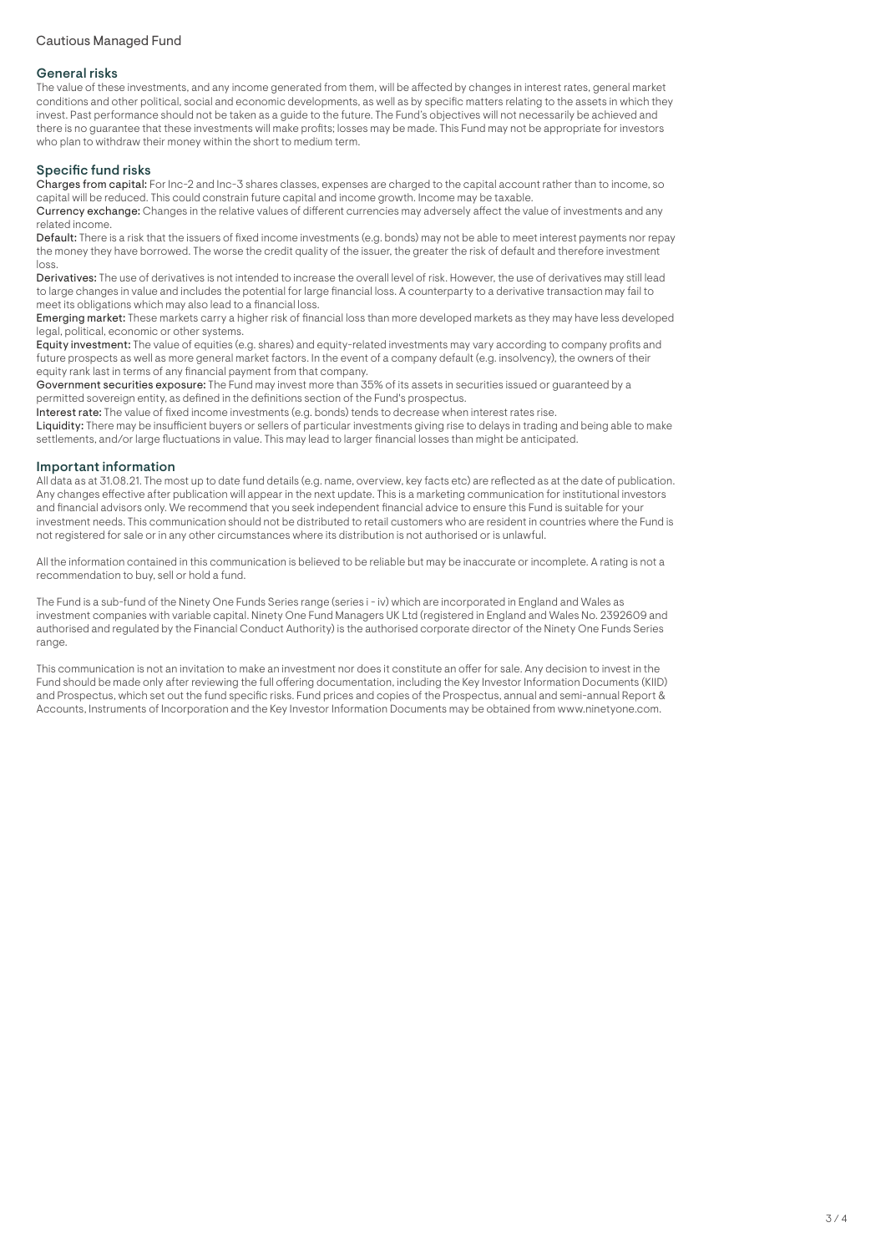# General risks

The value of these investments, and any income generated from them, will be affected by changes in interest rates, general market conditions and other political, social and economic developments, as well as by specific matters relating to the assets in which they invest. Past performance should not be taken as a guide to the future. The Fund's objectives will not necessarily be achieved and there is no guarantee that these investments will make profits; losses may be made. This Fund may not be appropriate for investors who plan to withdraw their money within the short to medium term.

# Specific fund risks

Charges from capital: For Inc-2 and Inc-3 shares classes, expenses are charged to the capital account rather than to income, so capital will be reduced. This could constrain future capital and income growth. Income may be taxable.

Currency exchange: Changes in the relative values of different currencies may adversely affect the value of investments and any related income.

Default: There is a risk that the issuers of fixed income investments (e.g. bonds) may not be able to meet interest payments nor repay the money they have borrowed. The worse the credit quality of the issuer, the greater the risk of default and therefore investment loss.

Derivatives: The use of derivatives is not intended to increase the overall level of risk. However, the use of derivatives may still lead to large changes in value and includes the potential for large financial loss. A counterparty to a derivative transaction may fail to meet its obligations which may also lead to a financial loss.

Emerging market: These markets carry a higher risk of financial loss than more developed markets as they may have less developed legal, political, economic or other systems.

Equity investment: The value of equities (e.g. shares) and equity-related investments may vary according to company profits and future prospects as well as more general market factors. In the event of a company default (e.g. insolvency), the owners of their equity rank last in terms of any financial payment from that company.

Government securities exposure: The Fund may invest more than 35% of its assets in securities issued or guaranteed by a permitted sovereign entity, as defined in the definitions section of the Fund's prospectus.

Interest rate: The value of fixed income investments (e.g. bonds) tends to decrease when interest rates rise.

Liquidity: There may be insufficient buyers or sellers of particular investments giving rise to delays in trading and being able to make settlements, and/or large fluctuations in value. This may lead to larger financial losses than might be anticipated.

# Important information

All data as at 31.08.21. The most up to date fund details (e.g. name, overview, key facts etc) are reflected as at the date of publication. Any changes effective after publication will appear in the next update. This is a marketing communication for institutional investors and financial advisors only. We recommend that you seek independent financial advice to ensure this Fund is suitable for your investment needs. This communication should not be distributed to retail customers who are resident in countries where the Fund is not registered for sale or in any other circumstances where its distribution is not authorised or is unlawful.

All the information contained in this communication is believed to be reliable but may be inaccurate or incomplete. A rating is not a recommendation to buy, sell or hold a fund.

The Fund is a sub-fund of the Ninety One Funds Series range (series i - iv) which are incorporated in England and Wales as investment companies with variable capital. Ninety One Fund Managers UK Ltd (registered in England and Wales No. 2392609 and authorised and regulated by the Financial Conduct Authority) is the authorised corporate director of the Ninety One Funds Series range.

This communication is not an invitation to make an investment nor does it constitute an offer for sale. Any decision to invest in the Fund should be made only after reviewing the full offering documentation, including the Key Investor Information Documents (KIID) and Prospectus, which set out the fund specific risks. Fund prices and copies of the Prospectus, annual and semi-annual Report & Accounts, Instruments of Incorporation and the Key Investor Information Documents may be obtained from www.ninetyone.com.